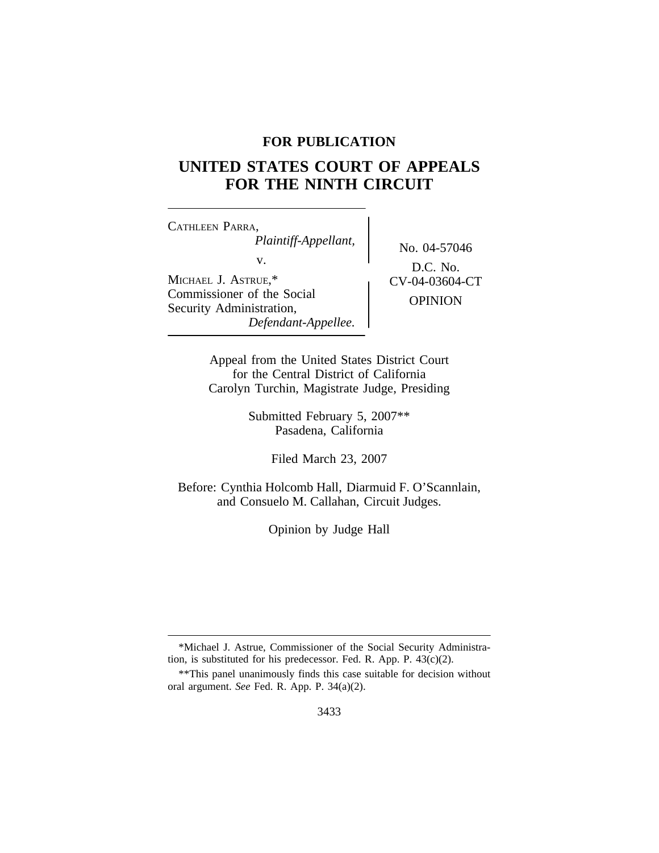## **FOR PUBLICATION**

# **UNITED STATES COURT OF APPEALS FOR THE NINTH CIRCUIT**

<sup>C</sup>ATHLEEN PARRA, *Plaintiff-Appellant,* No. 04-57046 v.  $D.C. No.$ MICHAEL J. ASTRUE,\* <br>
CV-04-03604-CT Commissioner of the Social OPINION<br>Security Administration, *Defendant-Appellee.*

Appeal from the United States District Court for the Central District of California Carolyn Turchin, Magistrate Judge, Presiding

> Submitted February 5, 2007\*\* Pasadena, California

> > Filed March 23, 2007

Before: Cynthia Holcomb Hall, Diarmuid F. O'Scannlain, and Consuelo M. Callahan, Circuit Judges.

Opinion by Judge Hall

<sup>\*</sup>Michael J. Astrue, Commissioner of the Social Security Administration, is substituted for his predecessor. Fed. R. App. P. 43(c)(2).

<sup>\*\*</sup>This panel unanimously finds this case suitable for decision without oral argument. *See* Fed. R. App. P. 34(a)(2).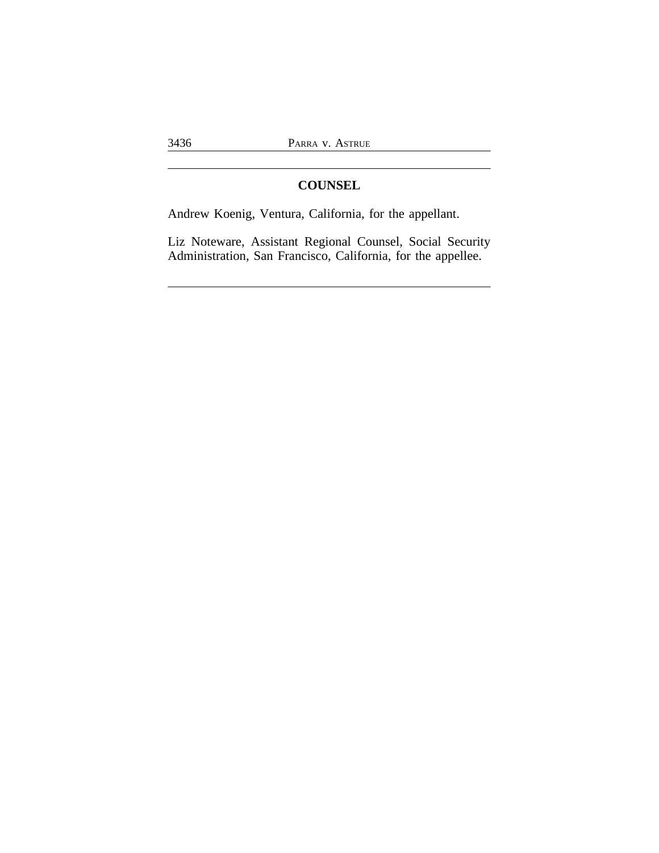## **COUNSEL**

Andrew Koenig, Ventura, California, for the appellant.

Liz Noteware, Assistant Regional Counsel, Social Security Administration, San Francisco, California, for the appellee.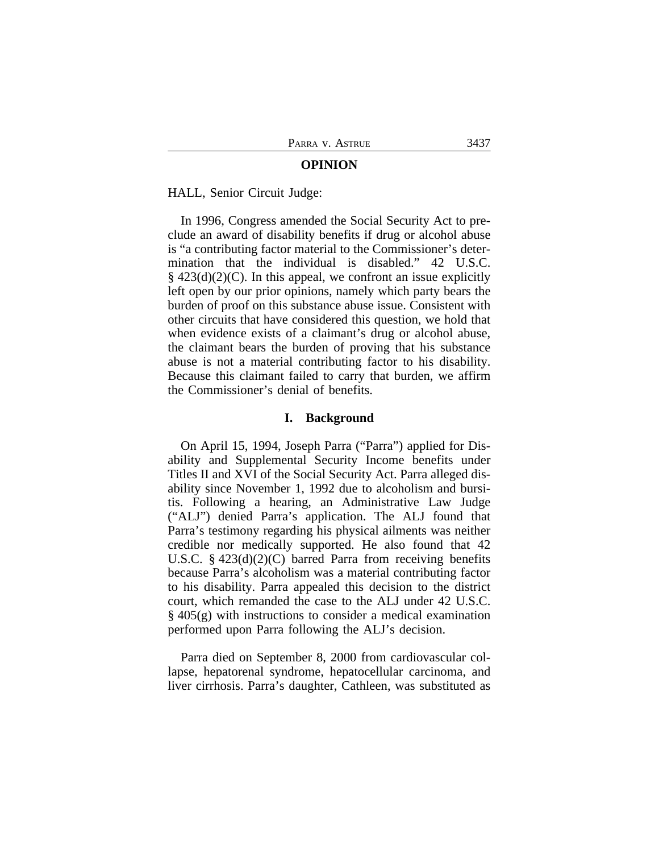#### **OPINION**

#### HALL, Senior Circuit Judge:

In 1996, Congress amended the Social Security Act to preclude an award of disability benefits if drug or alcohol abuse is "a contributing factor material to the Commissioner's determination that the individual is disabled." 42 U.S.C.  $§$  423(d)(2)(C). In this appeal, we confront an issue explicitly left open by our prior opinions, namely which party bears the burden of proof on this substance abuse issue. Consistent with other circuits that have considered this question, we hold that when evidence exists of a claimant's drug or alcohol abuse, the claimant bears the burden of proving that his substance abuse is not a material contributing factor to his disability. Because this claimant failed to carry that burden, we affirm the Commissioner's denial of benefits.

#### **I. Background**

On April 15, 1994, Joseph Parra ("Parra") applied for Disability and Supplemental Security Income benefits under Titles II and XVI of the Social Security Act. Parra alleged disability since November 1, 1992 due to alcoholism and bursitis. Following a hearing, an Administrative Law Judge ("ALJ") denied Parra's application. The ALJ found that Parra's testimony regarding his physical ailments was neither credible nor medically supported. He also found that 42 U.S.C. § 423(d)(2)(C) barred Parra from receiving benefits because Parra's alcoholism was a material contributing factor to his disability. Parra appealed this decision to the district court, which remanded the case to the ALJ under 42 U.S.C. § 405(g) with instructions to consider a medical examination performed upon Parra following the ALJ's decision.

Parra died on September 8, 2000 from cardiovascular collapse, hepatorenal syndrome, hepatocellular carcinoma, and liver cirrhosis. Parra's daughter, Cathleen, was substituted as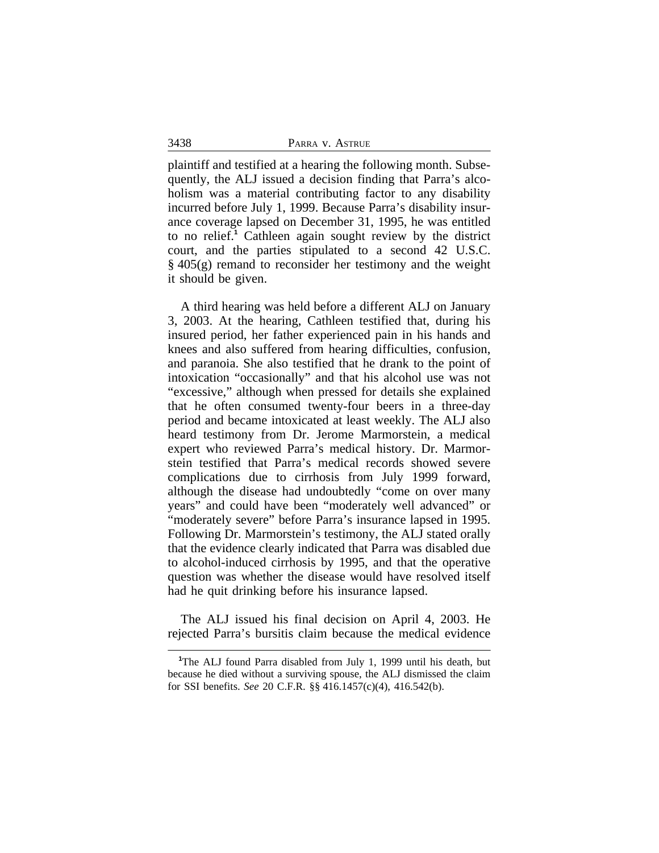plaintiff and testified at a hearing the following month. Subsequently, the ALJ issued a decision finding that Parra's alcoholism was a material contributing factor to any disability incurred before July 1, 1999. Because Parra's disability insurance coverage lapsed on December 31, 1995, he was entitled to no relief.**<sup>1</sup>** Cathleen again sought review by the district court, and the parties stipulated to a second 42 U.S.C. § 405(g) remand to reconsider her testimony and the weight it should be given.

A third hearing was held before a different ALJ on January 3, 2003. At the hearing, Cathleen testified that, during his insured period, her father experienced pain in his hands and knees and also suffered from hearing difficulties, confusion, and paranoia. She also testified that he drank to the point of intoxication "occasionally" and that his alcohol use was not "excessive," although when pressed for details she explained that he often consumed twenty-four beers in a three-day period and became intoxicated at least weekly. The ALJ also heard testimony from Dr. Jerome Marmorstein, a medical expert who reviewed Parra's medical history. Dr. Marmorstein testified that Parra's medical records showed severe complications due to cirrhosis from July 1999 forward, although the disease had undoubtedly "come on over many years" and could have been "moderately well advanced" or "moderately severe" before Parra's insurance lapsed in 1995. Following Dr. Marmorstein's testimony, the ALJ stated orally that the evidence clearly indicated that Parra was disabled due to alcohol-induced cirrhosis by 1995, and that the operative question was whether the disease would have resolved itself had he quit drinking before his insurance lapsed.

The ALJ issued his final decision on April 4, 2003. He rejected Parra's bursitis claim because the medical evidence

3438

**<sup>1</sup>**The ALJ found Parra disabled from July 1, 1999 until his death, but because he died without a surviving spouse, the ALJ dismissed the claim for SSI benefits. *See* 20 C.F.R. §§ 416.1457(c)(4), 416.542(b).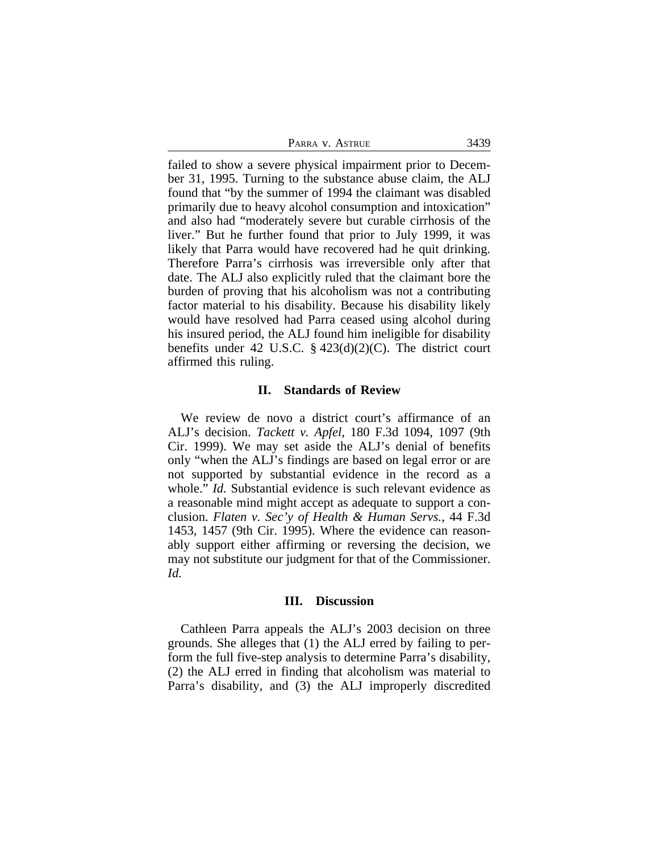| PARRA V. ASTRUE | 3439 |
|-----------------|------|
|-----------------|------|

failed to show a severe physical impairment prior to December 31, 1995. Turning to the substance abuse claim, the ALJ found that "by the summer of 1994 the claimant was disabled primarily due to heavy alcohol consumption and intoxication" and also had "moderately severe but curable cirrhosis of the liver." But he further found that prior to July 1999, it was likely that Parra would have recovered had he quit drinking. Therefore Parra's cirrhosis was irreversible only after that date. The ALJ also explicitly ruled that the claimant bore the burden of proving that his alcoholism was not a contributing factor material to his disability. Because his disability likely would have resolved had Parra ceased using alcohol during his insured period, the ALJ found him ineligible for disability benefits under 42 U.S.C.  $\S$  423(d)(2)(C). The district court affirmed this ruling.

## **II. Standards of Review**

We review de novo a district court's affirmance of an ALJ's decision. *Tackett v. Apfel*, 180 F.3d 1094, 1097 (9th Cir. 1999). We may set aside the ALJ's denial of benefits only "when the ALJ's findings are based on legal error or are not supported by substantial evidence in the record as a whole." *Id.* Substantial evidence is such relevant evidence as a reasonable mind might accept as adequate to support a conclusion. *Flaten v. Sec'y of Health & Human Servs.*, 44 F.3d 1453, 1457 (9th Cir. 1995). Where the evidence can reasonably support either affirming or reversing the decision, we may not substitute our judgment for that of the Commissioner. *Id.* 

#### **III. Discussion**

Cathleen Parra appeals the ALJ's 2003 decision on three grounds. She alleges that (1) the ALJ erred by failing to perform the full five-step analysis to determine Parra's disability, (2) the ALJ erred in finding that alcoholism was material to Parra's disability, and (3) the ALJ improperly discredited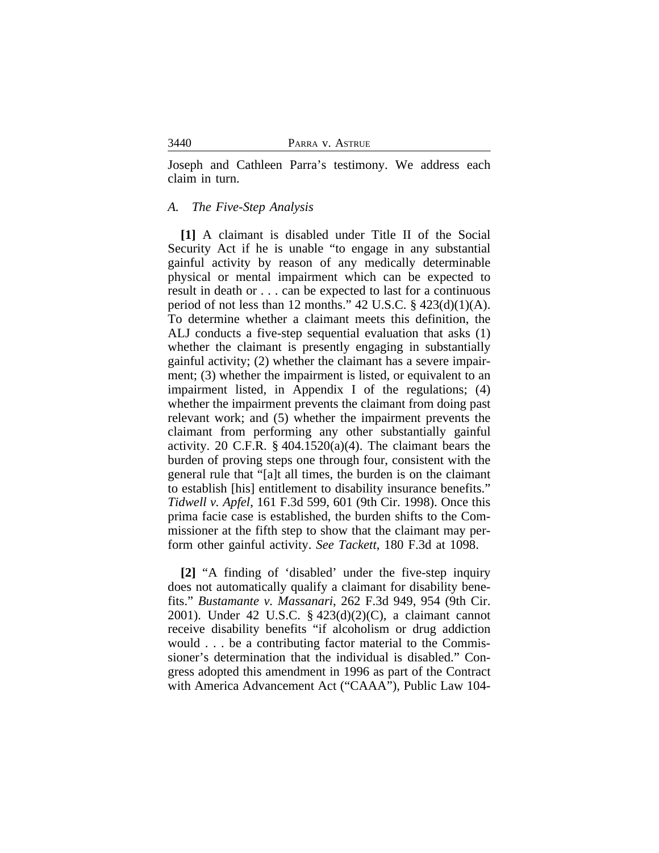Joseph and Cathleen Parra's testimony. We address each claim in turn.

## *A. The Five-Step Analysis*

**[1]** A claimant is disabled under Title II of the Social Security Act if he is unable "to engage in any substantial gainful activity by reason of any medically determinable physical or mental impairment which can be expected to result in death or . . . can be expected to last for a continuous period of not less than 12 months."  $42 \text{ U.S.C. }$  §  $423(d)(1)(A)$ . To determine whether a claimant meets this definition, the ALJ conducts a five-step sequential evaluation that asks (1) whether the claimant is presently engaging in substantially gainful activity; (2) whether the claimant has a severe impairment; (3) whether the impairment is listed, or equivalent to an impairment listed, in Appendix I of the regulations; (4) whether the impairment prevents the claimant from doing past relevant work; and (5) whether the impairment prevents the claimant from performing any other substantially gainful activity. 20 C.F.R. § 404.1520(a)(4). The claimant bears the burden of proving steps one through four, consistent with the general rule that "[a]t all times, the burden is on the claimant to establish [his] entitlement to disability insurance benefits." *Tidwell v. Apfel*, 161 F.3d 599, 601 (9th Cir. 1998). Once this prima facie case is established, the burden shifts to the Commissioner at the fifth step to show that the claimant may perform other gainful activity. *See Tackett*, 180 F.3d at 1098.

**[2]** "A finding of 'disabled' under the five-step inquiry does not automatically qualify a claimant for disability benefits." *Bustamante v. Massanari*, 262 F.3d 949, 954 (9th Cir. 2001). Under 42 U.S.C. § 423(d)(2)(C), a claimant cannot receive disability benefits "if alcoholism or drug addiction would . . . be a contributing factor material to the Commissioner's determination that the individual is disabled." Congress adopted this amendment in 1996 as part of the Contract with America Advancement Act ("CAAA"), Public Law 104-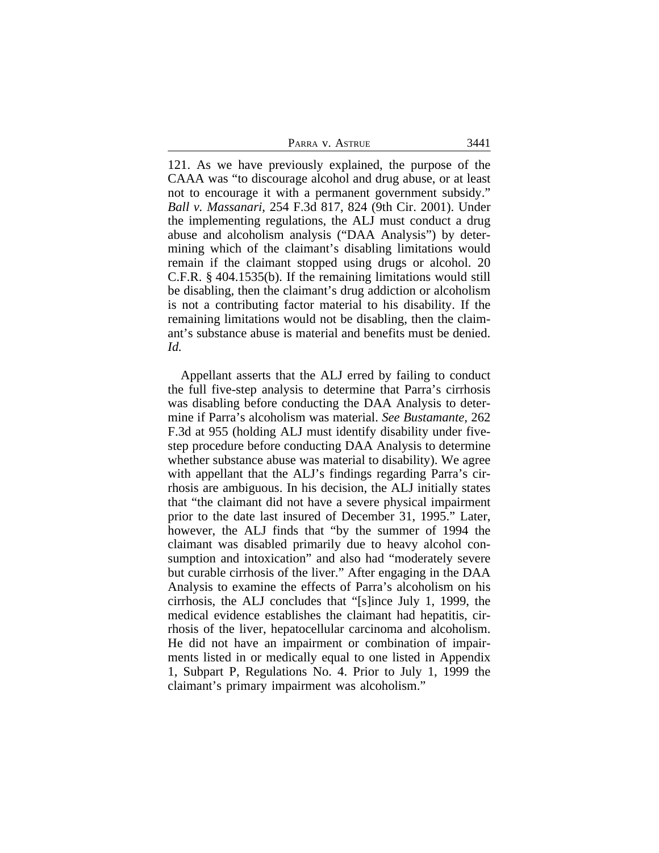PARRA V. ASTRUE 3441

121. As we have previously explained, the purpose of the CAAA was "to discourage alcohol and drug abuse, or at least not to encourage it with a permanent government subsidy." *Ball v. Massanari*, 254 F.3d 817, 824 (9th Cir. 2001). Under the implementing regulations, the ALJ must conduct a drug abuse and alcoholism analysis ("DAA Analysis") by determining which of the claimant's disabling limitations would remain if the claimant stopped using drugs or alcohol. 20 C.F.R. § 404.1535(b). If the remaining limitations would still be disabling, then the claimant's drug addiction or alcoholism is not a contributing factor material to his disability. If the remaining limitations would not be disabling, then the claimant's substance abuse is material and benefits must be denied. *Id.*

Appellant asserts that the ALJ erred by failing to conduct the full five-step analysis to determine that Parra's cirrhosis was disabling before conducting the DAA Analysis to determine if Parra's alcoholism was material. *See Bustamante,* 262 F.3d at 955 (holding ALJ must identify disability under fivestep procedure before conducting DAA Analysis to determine whether substance abuse was material to disability). We agree with appellant that the ALJ's findings regarding Parra's cirrhosis are ambiguous. In his decision, the ALJ initially states that "the claimant did not have a severe physical impairment prior to the date last insured of December 31, 1995." Later, however, the ALJ finds that "by the summer of 1994 the claimant was disabled primarily due to heavy alcohol consumption and intoxication" and also had "moderately severe but curable cirrhosis of the liver." After engaging in the DAA Analysis to examine the effects of Parra's alcoholism on his cirrhosis, the ALJ concludes that "[s]ince July 1, 1999, the medical evidence establishes the claimant had hepatitis, cirrhosis of the liver, hepatocellular carcinoma and alcoholism. He did not have an impairment or combination of impairments listed in or medically equal to one listed in Appendix 1, Subpart P, Regulations No. 4. Prior to July 1, 1999 the claimant's primary impairment was alcoholism."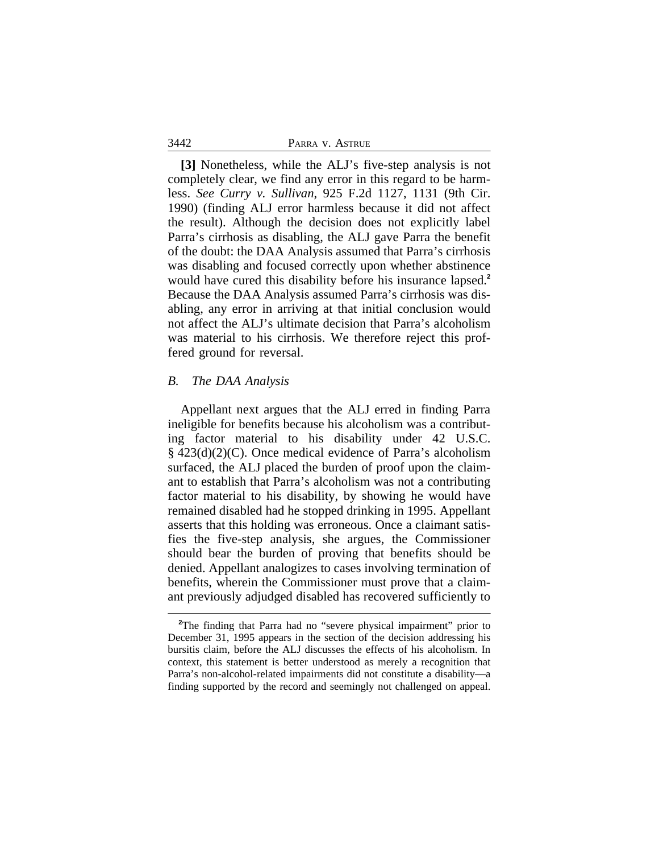|  |  | PARRA V. ASTRUE |  |
|--|--|-----------------|--|
|--|--|-----------------|--|

**[3]** Nonetheless, while the ALJ's five-step analysis is not completely clear, we find any error in this regard to be harmless. *See Curry v. Sullivan*, 925 F.2d 1127, 1131 (9th Cir. 1990) (finding ALJ error harmless because it did not affect the result). Although the decision does not explicitly label Parra's cirrhosis as disabling, the ALJ gave Parra the benefit of the doubt: the DAA Analysis assumed that Parra's cirrhosis was disabling and focused correctly upon whether abstinence would have cured this disability before his insurance lapsed.**<sup>2</sup>** Because the DAA Analysis assumed Parra's cirrhosis was disabling, any error in arriving at that initial conclusion would not affect the ALJ's ultimate decision that Parra's alcoholism was material to his cirrhosis. We therefore reject this proffered ground for reversal.

#### *B. The DAA Analysis*

3442

Appellant next argues that the ALJ erred in finding Parra ineligible for benefits because his alcoholism was a contributing factor material to his disability under 42 U.S.C. § 423(d)(2)(C). Once medical evidence of Parra's alcoholism surfaced, the ALJ placed the burden of proof upon the claimant to establish that Parra's alcoholism was not a contributing factor material to his disability, by showing he would have remained disabled had he stopped drinking in 1995. Appellant asserts that this holding was erroneous. Once a claimant satisfies the five-step analysis, she argues, the Commissioner should bear the burden of proving that benefits should be denied. Appellant analogizes to cases involving termination of benefits, wherein the Commissioner must prove that a claimant previously adjudged disabled has recovered sufficiently to

<sup>&</sup>lt;sup>2</sup>The finding that Parra had no "severe physical impairment" prior to December 31, 1995 appears in the section of the decision addressing his bursitis claim, before the ALJ discusses the effects of his alcoholism. In context, this statement is better understood as merely a recognition that Parra's non-alcohol-related impairments did not constitute a disability—a finding supported by the record and seemingly not challenged on appeal.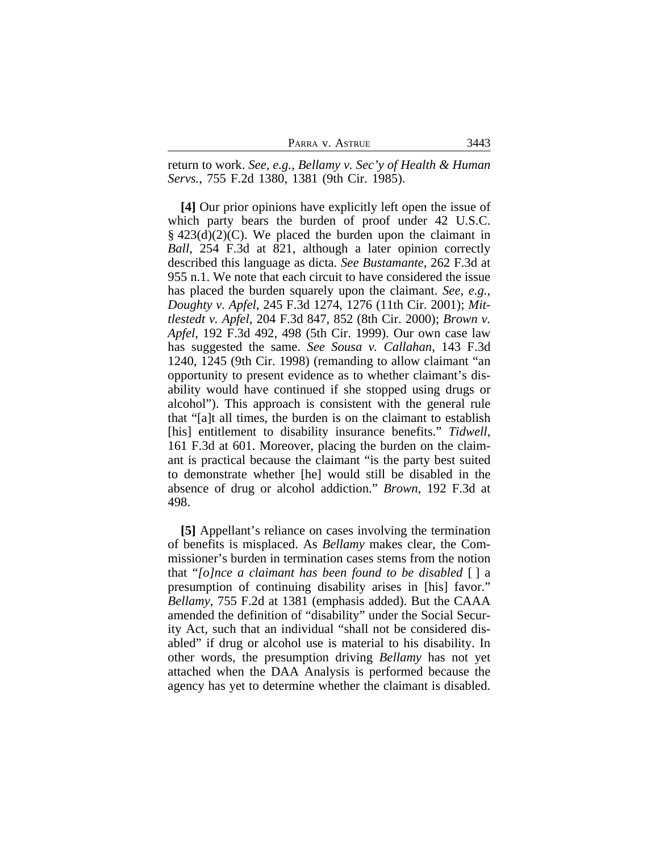| PARRA V. ASTRUE | 3443 |
|-----------------|------|
|-----------------|------|

return to work. *See, e.g.*, *Bellamy v. Sec'y of Health & Human Servs.*, 755 F.2d 1380, 1381 (9th Cir. 1985).

**[4]** Our prior opinions have explicitly left open the issue of which party bears the burden of proof under 42 U.S.C. § 423(d)(2)(C). We placed the burden upon the claimant in *Ball*, 254 F.3d at 821, although a later opinion correctly described this language as dicta. *See Bustamante*, 262 F.3d at 955 n.1. We note that each circuit to have considered the issue has placed the burden squarely upon the claimant. *See, e.g., Doughty v. Apfel*, 245 F.3d 1274, 1276 (11th Cir. 2001); *Mittlestedt v. Apfel*, 204 F.3d 847, 852 (8th Cir. 2000); *Brown v. Apfel*, 192 F.3d 492, 498 (5th Cir. 1999). Our own case law has suggested the same. *See Sousa v. Callahan*, 143 F.3d 1240, 1245 (9th Cir. 1998) (remanding to allow claimant "an opportunity to present evidence as to whether claimant's disability would have continued if she stopped using drugs or alcohol"). This approach is consistent with the general rule that "[a]t all times, the burden is on the claimant to establish [his] entitlement to disability insurance benefits." *Tidwell*, 161 F.3d at 601. Moreover, placing the burden on the claimant is practical because the claimant "is the party best suited to demonstrate whether [he] would still be disabled in the absence of drug or alcohol addiction." *Brown*, 192 F.3d at 498.

**[5]** Appellant's reliance on cases involving the termination of benefits is misplaced. As *Bellamy* makes clear, the Commissioner's burden in termination cases stems from the notion that "*[o]nce a claimant has been found to be disabled* [ ] a presumption of continuing disability arises in [his] favor." *Bellamy*, 755 F.2d at 1381 (emphasis added). But the CAAA amended the definition of "disability" under the Social Security Act, such that an individual "shall not be considered disabled" if drug or alcohol use is material to his disability. In other words, the presumption driving *Bellamy* has not yet attached when the DAA Analysis is performed because the agency has yet to determine whether the claimant is disabled.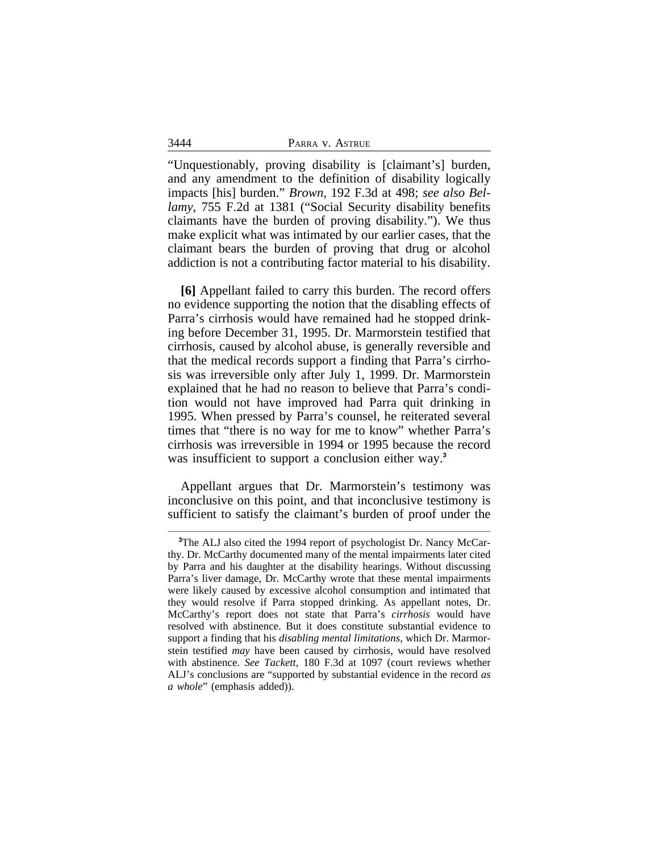| 3444 | PARRA V. ASTRUE |
|------|-----------------|
|------|-----------------|

"Unquestionably, proving disability is [claimant's] burden, and any amendment to the definition of disability logically impacts [his] burden." *Brown*, 192 F.3d at 498; *see also Bellamy*, 755 F.2d at 1381 ("Social Security disability benefits claimants have the burden of proving disability."). We thus make explicit what was intimated by our earlier cases, that the claimant bears the burden of proving that drug or alcohol addiction is not a contributing factor material to his disability.

**[6]** Appellant failed to carry this burden. The record offers no evidence supporting the notion that the disabling effects of Parra's cirrhosis would have remained had he stopped drinking before December 31, 1995. Dr. Marmorstein testified that cirrhosis, caused by alcohol abuse, is generally reversible and that the medical records support a finding that Parra's cirrhosis was irreversible only after July 1, 1999. Dr. Marmorstein explained that he had no reason to believe that Parra's condition would not have improved had Parra quit drinking in 1995. When pressed by Parra's counsel, he reiterated several times that "there is no way for me to know" whether Parra's cirrhosis was irreversible in 1994 or 1995 because the record was insufficient to support a conclusion either way.**<sup>3</sup>**

Appellant argues that Dr. Marmorstein's testimony was inconclusive on this point, and that inconclusive testimony is sufficient to satisfy the claimant's burden of proof under the

<sup>&</sup>lt;sup>3</sup>The ALJ also cited the 1994 report of psychologist Dr. Nancy McCarthy. Dr. McCarthy documented many of the mental impairments later cited by Parra and his daughter at the disability hearings. Without discussing Parra's liver damage, Dr. McCarthy wrote that these mental impairments were likely caused by excessive alcohol consumption and intimated that they would resolve if Parra stopped drinking. As appellant notes, Dr. McCarthy's report does not state that Parra's *cirrhosis* would have resolved with abstinence. But it does constitute substantial evidence to support a finding that his *disabling mental limitations*, which Dr. Marmorstein testified *may* have been caused by cirrhosis, would have resolved with abstinence. *See Tackett,* 180 F.3d at 1097 (court reviews whether ALJ's conclusions are "supported by substantial evidence in the record *as a whole*" (emphasis added)).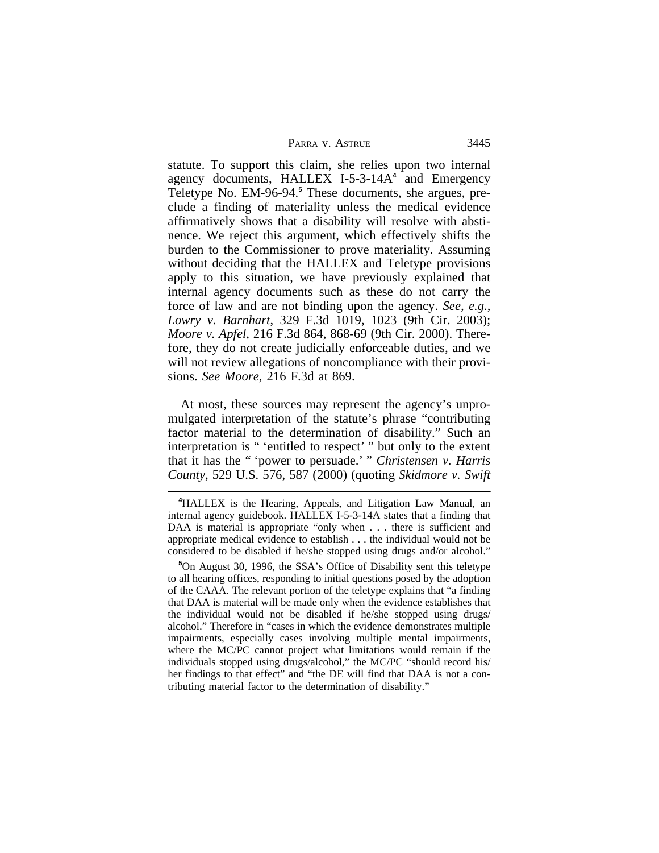| PARRA V. ASTRUE | 3445 |
|-----------------|------|
|                 |      |

statute. To support this claim, she relies upon two internal agency documents, HALLEX I-5-3-14A**<sup>4</sup>** and Emergency Teletype No. EM-96-94.**<sup>5</sup>** These documents, she argues, preclude a finding of materiality unless the medical evidence affirmatively shows that a disability will resolve with abstinence. We reject this argument, which effectively shifts the burden to the Commissioner to prove materiality. Assuming without deciding that the HALLEX and Teletype provisions apply to this situation, we have previously explained that internal agency documents such as these do not carry the force of law and are not binding upon the agency. *See, e.g.*, *Lowry v. Barnhart*, 329 F.3d 1019, 1023 (9th Cir. 2003); *Moore v. Apfel*, 216 F.3d 864, 868-69 (9th Cir. 2000). Therefore, they do not create judicially enforceable duties, and we will not review allegations of noncompliance with their provisions. *See Moore*, 216 F.3d at 869.

At most, these sources may represent the agency's unpromulgated interpretation of the statute's phrase "contributing factor material to the determination of disability." Such an interpretation is " 'entitled to respect' " but only to the extent that it has the " 'power to persuade.' " *Christensen v. Harris County*, 529 U.S. 576, 587 (2000) (quoting *Skidmore v. Swift*

**<sup>4</sup>**HALLEX is the Hearing, Appeals, and Litigation Law Manual, an internal agency guidebook. HALLEX I-5-3-14A states that a finding that DAA is material is appropriate "only when . . . there is sufficient and appropriate medical evidence to establish . . . the individual would not be considered to be disabled if he/she stopped using drugs and/or alcohol."

**<sup>5</sup>**On August 30, 1996, the SSA's Office of Disability sent this teletype to all hearing offices, responding to initial questions posed by the adoption of the CAAA. The relevant portion of the teletype explains that "a finding that DAA is material will be made only when the evidence establishes that the individual would not be disabled if he/she stopped using drugs/ alcohol." Therefore in "cases in which the evidence demonstrates multiple impairments, especially cases involving multiple mental impairments, where the MC/PC cannot project what limitations would remain if the individuals stopped using drugs/alcohol," the MC/PC "should record his/ her findings to that effect" and "the DE will find that DAA is not a contributing material factor to the determination of disability."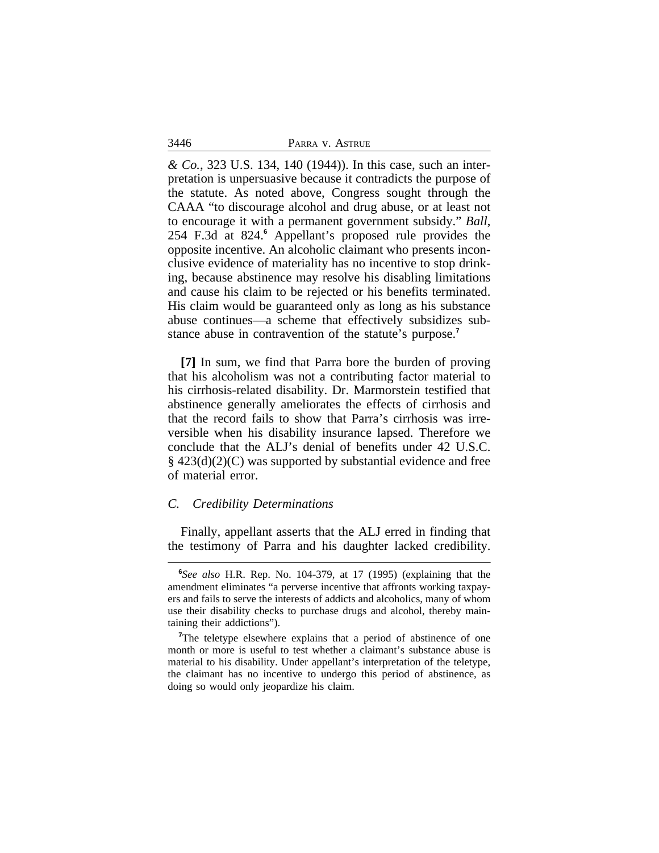*& Co.*, 323 U.S. 134, 140 (1944)). In this case, such an interpretation is unpersuasive because it contradicts the purpose of the statute. As noted above, Congress sought through the CAAA "to discourage alcohol and drug abuse, or at least not to encourage it with a permanent government subsidy." *Ball*, 254 F.3d at 824.**<sup>6</sup>** Appellant's proposed rule provides the opposite incentive. An alcoholic claimant who presents inconclusive evidence of materiality has no incentive to stop drinking, because abstinence may resolve his disabling limitations and cause his claim to be rejected or his benefits terminated. His claim would be guaranteed only as long as his substance abuse continues—a scheme that effectively subsidizes substance abuse in contravention of the statute's purpose.**<sup>7</sup>**

**[7]** In sum, we find that Parra bore the burden of proving that his alcoholism was not a contributing factor material to his cirrhosis-related disability. Dr. Marmorstein testified that abstinence generally ameliorates the effects of cirrhosis and that the record fails to show that Parra's cirrhosis was irreversible when his disability insurance lapsed. Therefore we conclude that the ALJ's denial of benefits under 42 U.S.C. § 423(d)(2)(C) was supported by substantial evidence and free of material error.

### *C. Credibility Determinations*

Finally, appellant asserts that the ALJ erred in finding that the testimony of Parra and his daughter lacked credibility.

3446

**<sup>6</sup>** *See also* H.R. Rep. No. 104-379, at 17 (1995) (explaining that the amendment eliminates "a perverse incentive that affronts working taxpayers and fails to serve the interests of addicts and alcoholics, many of whom use their disability checks to purchase drugs and alcohol, thereby maintaining their addictions").

<sup>&</sup>lt;sup>7</sup>The teletype elsewhere explains that a period of abstinence of one month or more is useful to test whether a claimant's substance abuse is material to his disability. Under appellant's interpretation of the teletype, the claimant has no incentive to undergo this period of abstinence, as doing so would only jeopardize his claim.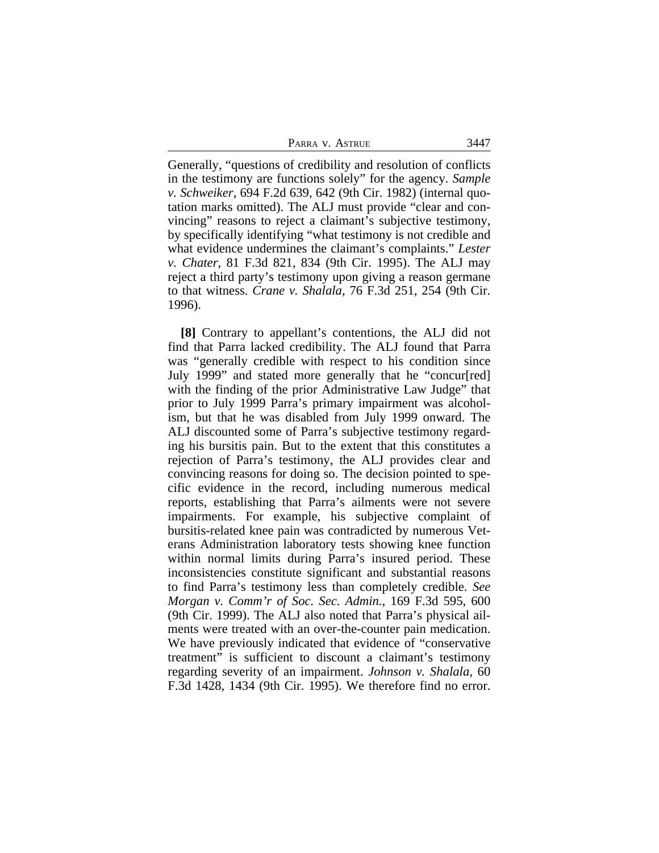Generally, "questions of credibility and resolution of conflicts in the testimony are functions solely" for the agency. *Sample v. Schweiker*, 694 F.2d 639, 642 (9th Cir. 1982) (internal quotation marks omitted). The ALJ must provide "clear and convincing" reasons to reject a claimant's subjective testimony, by specifically identifying "what testimony is not credible and what evidence undermines the claimant's complaints." *Lester v. Chater*, 81 F.3d 821, 834 (9th Cir. 1995). The ALJ may reject a third party's testimony upon giving a reason germane to that witness. *Crane v. Shalala*, 76 F.3d 251, 254 (9th Cir. 1996).

**[8]** Contrary to appellant's contentions, the ALJ did not find that Parra lacked credibility. The ALJ found that Parra was "generally credible with respect to his condition since July 1999" and stated more generally that he "concur[red] with the finding of the prior Administrative Law Judge" that prior to July 1999 Parra's primary impairment was alcoholism, but that he was disabled from July 1999 onward. The ALJ discounted some of Parra's subjective testimony regarding his bursitis pain. But to the extent that this constitutes a rejection of Parra's testimony, the ALJ provides clear and convincing reasons for doing so. The decision pointed to specific evidence in the record, including numerous medical reports, establishing that Parra's ailments were not severe impairments. For example, his subjective complaint of bursitis-related knee pain was contradicted by numerous Veterans Administration laboratory tests showing knee function within normal limits during Parra's insured period. These inconsistencies constitute significant and substantial reasons to find Parra's testimony less than completely credible. *See Morgan v. Comm'r of Soc. Sec. Admin.*, 169 F.3d 595, 600 (9th Cir. 1999). The ALJ also noted that Parra's physical ailments were treated with an over-the-counter pain medication. We have previously indicated that evidence of "conservative treatment" is sufficient to discount a claimant's testimony regarding severity of an impairment. *Johnson v. Shalala*, 60 F.3d 1428, 1434 (9th Cir. 1995). We therefore find no error.